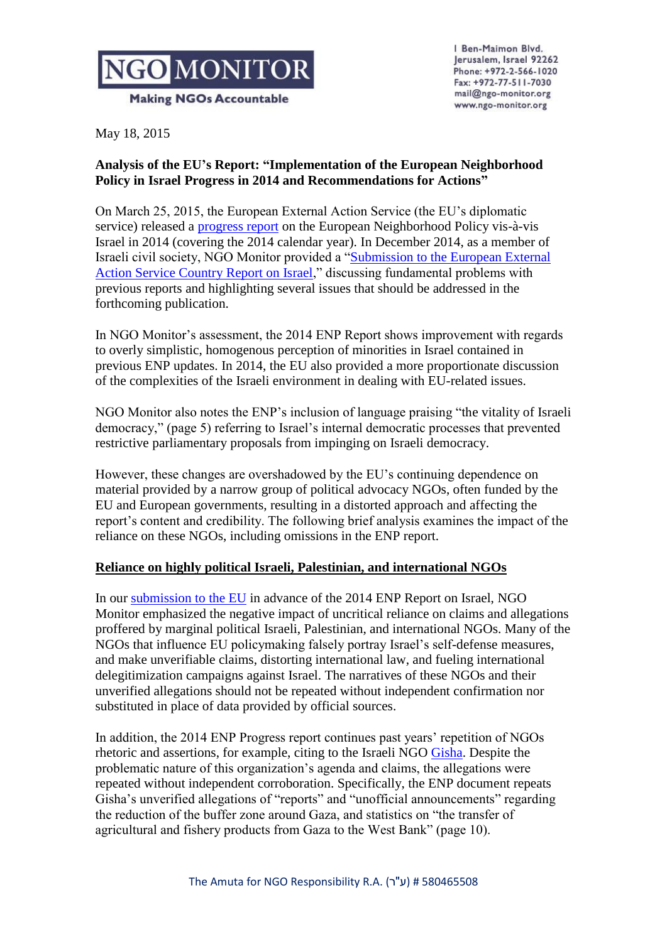

Ben-Maimon Blvd. Jerusalem, Israel 92262 Phone: +972-2-566-1020 Fax: +972-77-511-7030 mail@ngo-monitor.org www.ngo-monitor.org

May 18, 2015

## **Analysis of the EU's Report: "Implementation of the European Neighborhood Policy in Israel Progress in 2014 and Recommendations for Actions"**

On March 25, 2015, the European External Action Service (the EU's diplomatic service) released a [progress report](http://eeas.europa.eu/enp/pdf/2015/israel-enp-report-2015_en.pdf) on the European Neighborhood Policy vis-à-vis Israel in 2014 (covering the 2014 calendar year). In December 2014, as a member of Israeli civil society, NGO Monitor provided a ["Submission to the European External](http://www.ngo-monitor.org/article/submission_to_the_european_external_action_service_country_report_on_israel_)  [Action Service Country Report on Israel,](http://www.ngo-monitor.org/article/submission_to_the_european_external_action_service_country_report_on_israel_)" discussing fundamental problems with previous reports and highlighting several issues that should be addressed in the forthcoming publication.

In NGO Monitor's assessment, the 2014 ENP Report shows improvement with regards to overly simplistic, homogenous perception of minorities in Israel contained in previous ENP updates. In 2014, the EU also provided a more proportionate discussion of the complexities of the Israeli environment in dealing with EU-related issues.

NGO Monitor also notes the ENP's inclusion of language praising "the vitality of Israeli democracy," (page 5) referring to Israel's internal democratic processes that prevented restrictive parliamentary proposals from impinging on Israeli democracy.

However, these changes are overshadowed by the EU's continuing dependence on material provided by a narrow group of political advocacy NGOs, often funded by the EU and European governments, resulting in a distorted approach and affecting the report's content and credibility. The following brief analysis examines the impact of the reliance on these NGOs, including omissions in the ENP report.

## **Reliance on highly political Israeli, Palestinian, and international NGOs**

In our [submission to the EU](http://ngo-monitor.org/data/images/File/ENP%20report%20Print%20version.pdf) in advance of the 2014 ENP Report on Israel, NGO Monitor emphasized the negative impact of uncritical reliance on claims and allegations proffered by marginal political Israeli, Palestinian, and international NGOs. Many of the NGOs that influence EU policymaking falsely portray Israel's self-defense measures, and make unverifiable claims, distorting international law, and fueling international delegitimization campaigns against Israel. The narratives of these NGOs and their unverified allegations should not be repeated without independent confirmation nor substituted in place of data provided by official sources.

In addition, the 2014 ENP Progress report continues past years' repetition of NGOs rhetoric and assertions, for example, citing to the Israeli NGO [Gisha.](http://www.ngo-monitor.org/article/gisha) Despite the problematic nature of this organization's agenda and claims, the allegations were repeated without independent corroboration. Specifically, the ENP document repeats Gisha's unverified allegations of "reports" and "unofficial announcements" regarding the reduction of the buffer zone around Gaza, and statistics on "the transfer of agricultural and fishery products from Gaza to the West Bank" (page 10).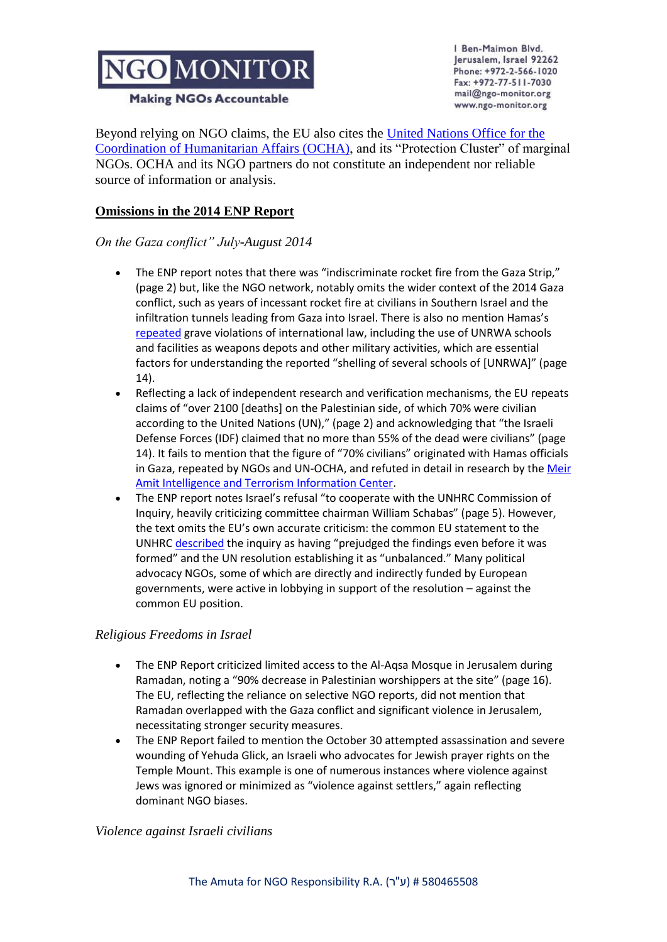# NGO MONITOR

**Making NGOs Accountable** 

Ben-Maimon Blvd. Jerusalem, Israel 92262 Phone: +972-2-566-1020 Fax: +972-77-511-7030 mail@ngo-monitor.org www.ngo-monitor.org

Beyond relying on NGO claims, the EU also cites the [United Nations Office for the](http://www.ngo-monitor.org/article/united_nations_office_for_the_coordination_of_humanitarian_affairs_ocha_)  [Coordination of Humanitarian Affairs \(OCHA\),](http://www.ngo-monitor.org/article/united_nations_office_for_the_coordination_of_humanitarian_affairs_ocha_) and its "Protection Cluster" of marginal NGOs. OCHA and its NGO partners do not constitute an independent nor reliable source of information or analysis.

## **Omissions in the 2014 ENP Report**

### *On the Gaza conflict" July-August 2014*

- The ENP report notes that there was "indiscriminate rocket fire from the Gaza Strip," (page 2) but, like the NGO network, notably omits the wider context of the 2014 Gaza conflict, such as years of incessant rocket fire at civilians in Southern Israel and the infiltration tunnels leading from Gaza into Israel. There is also no mention Hamas's [repeated](http://www.unrwa.org/newsroom/press-releases/unrwa-strongly-condemns-placement-rockets-school) grave violations of international law, including the use of UNRWA schools and facilities as weapons depots and other military activities, which are essential factors for understanding the reported "shelling of several schools of [UNRWA]" (page 14).
- Reflecting a lack of independent research and verification mechanisms, the EU repeats claims of "over 2100 [deaths] on the Palestinian side, of which 70% were civilian according to the United Nations (UN)," (page 2) and acknowledging that "the Israeli Defense Forces (IDF) claimed that no more than 55% of the dead were civilians" (page 14). It fails to mention that the figure of "70% civilians" originated with Hamas officials in Gaza, repeated by NGOs and UN-OCHA, and refuted in detail in research by the [Meir](http://www.terrorism-info.org.il/en/index.aspx)  [Amit Intelligence and Terrorism Information Center.](http://www.terrorism-info.org.il/en/index.aspx)
- The ENP report notes Israel's refusal "to cooperate with the UNHRC Commission of Inquiry, heavily criticizing committee chairman William Schabas" (page 5). However, the text omits the EU's own accurate criticism: the common EU statement to the UNHRC [described](http://www.ohchr.org/en/NewsEvents/Pages/DisplayNews.aspx?NewsID=14897&LangID=E) the inquiry as having "prejudged the findings even before it was formed" and the UN resolution establishing it as "unbalanced." Many political advocacy NGOs, some of which are directly and indirectly funded by European governments, were active in lobbying in support of the resolution – against the common EU position.

### *Religious Freedoms in Israel*

- The ENP Report criticized limited access to the Al-Aqsa Mosque in Jerusalem during Ramadan, noting a "90% decrease in Palestinian worshippers at the site" (page 16). The EU, reflecting the reliance on selective NGO reports, did not mention that Ramadan overlapped with the Gaza conflict and significant violence in Jerusalem, necessitating stronger security measures.
- The ENP Report failed to mention the October 30 attempted assassination and severe wounding of Yehuda Glick, an Israeli who advocates for Jewish prayer rights on the Temple Mount. This example is one of numerous instances where violence against Jews was ignored or minimized as "violence against settlers," again reflecting dominant NGO biases.

### *Violence against Israeli civilians*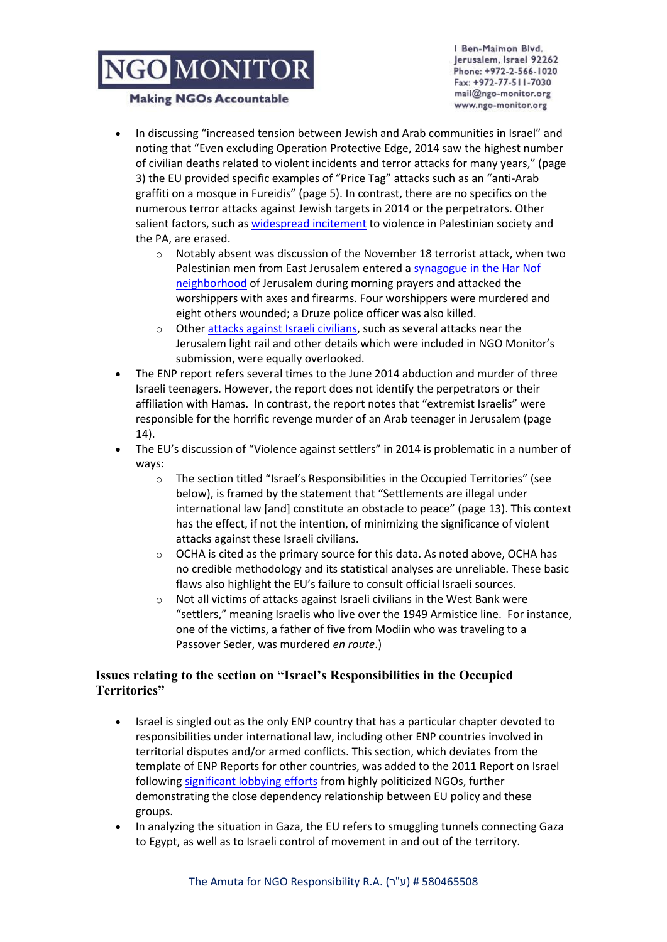# NGO MONITOR

#### **Making NGOs Accountable**

Ben-Maimon Blvd. Jerusalem, Israel 92262 Phone: +972-2-566-1020 Fax: +972-77-511-7030 mail@ngo-monitor.org www.ngo-monitor.org

- In discussing "increased tension between Jewish and Arab communities in Israel" and noting that "Even excluding Operation Protective Edge, 2014 saw the highest number of civilian deaths related to violent incidents and terror attacks for many years," (page 3) the EU provided specific examples of "Price Tag" attacks such as an "anti-Arab graffiti on a mosque in Fureidis" (page 5). In contrast, there are no specifics on the numerous terror attacks against Jewish targets in 2014 or the perpetrators. Other salient factors, such a[s widespread incitement](http://missingpeace.eu/en/2014/11/direct-link-between-jerusalem-terror-and-pas-incitement-campaign/) to violence in Palestinian society and the PA, are erased.
	- $\circ$  Notably absent was discussion of the November 18 terrorist attack, when two Palestinian men from East Jerusalem entered [a synagogue in the Har Nof](http://www.ngo-monitor.org/article/submission_to_the_european_external_action_service_country_report_on_israel_)  [neighborhood](http://www.ngo-monitor.org/article/submission_to_the_european_external_action_service_country_report_on_israel_) of Jerusalem during morning prayers and attacked the worshippers with axes and firearms. Four worshippers were murdered and eight others wounded; a Druze police officer was also killed.
	- o Othe[r attacks against Israeli civilians,](http://www.ngo-monitor.org/article/submission_to_the_european_external_action_service_country_report_on_israel_) such as several attacks near the Jerusalem light rail and other details which were included in NGO Monitor's submission, were equally overlooked.
- The ENP report refers several times to the June 2014 abduction and murder of three Israeli teenagers. However, the report does not identify the perpetrators or their affiliation with Hamas. In contrast, the report notes that "extremist Israelis" were responsible for the horrific revenge murder of an Arab teenager in Jerusalem (page 14).
- The EU's discussion of "Violence against settlers" in 2014 is problematic in a number of ways:
	- o The section titled "Israel's Responsibilities in the Occupied Territories" (see below), is framed by the statement that "Settlements are illegal under international law [and] constitute an obstacle to peace" (page 13). This context has the effect, if not the intention, of minimizing the significance of violent attacks against these Israeli civilians.
	- $\circ$  OCHA is cited as the primary source for this data. As noted above, OCHA has no credible methodology and its statistical analyses are unreliable. These basic flaws also highlight the EU's failure to consult official Israeli sources.
	- $\circ$  Not all victims of attacks against Israeli civilians in the West Bank were "settlers," meaning Israelis who live over the 1949 Armistice line. For instance, one of the victims, a father of five from Modiin who was traveling to a Passover Seder, was murdered *en route*.)

## **Issues relating to the section on "Israel's Responsibilities in the Occupied Territories"**

- Israel is singled out as the only ENP country that has a particular chapter devoted to responsibilities under international law, including other ENP countries involved in territorial disputes and/or armed conflicts. This section, which deviates from the template of ENP Reports for other countries, was added to the 2011 Report on Israel following [significant lobbying efforts](http://electronicintifada.net/sites/electronicintifada.net/files/artman2/1/hr_review_on_eu_and_israel_.pdf) from highly politicized NGOs, further demonstrating the close dependency relationship between EU policy and these groups.
- In analyzing the situation in Gaza, the EU refers to smuggling tunnels connecting Gaza to Egypt, as well as to Israeli control of movement in and out of the territory.